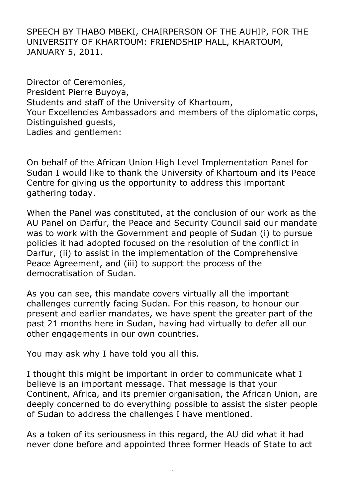SPEECH BY THABO MBEKI, CHAIRPERSON OF THE AUHIP, FOR THE UNIVERSITY OF KHARTOUM: FRIENDSHIP HALL, KHARTOUM, JANUARY 5, 2011.

Director of Ceremonies, President Pierre Buyoya, Students and staff of the University of Khartoum, Your Excellencies Ambassadors and members of the diplomatic corps, Distinguished guests, Ladies and gentlemen:

On behalf of the African Union High Level Implementation Panel for Sudan I would like to thank the University of Khartoum and its Peace Centre for giving us the opportunity to address this important gathering today.

When the Panel was constituted, at the conclusion of our work as the AU Panel on Darfur, the Peace and Security Council said our mandate was to work with the Government and people of Sudan (i) to pursue policies it had adopted focused on the resolution of the conflict in Darfur, (ii) to assist in the implementation of the Comprehensive Peace Agreement, and (iii) to support the process of the democratisation of Sudan.

As you can see, this mandate covers virtually all the important challenges currently facing Sudan. For this reason, to honour our present and earlier mandates, we have spent the greater part of the past 21 months here in Sudan, having had virtually to defer all our other engagements in our own countries.

You may ask why I have told you all this.

I thought this might be important in order to communicate what I believe is an important message. That message is that your Continent, Africa, and its premier organisation, the African Union, are deeply concerned to do everything possible to assist the sister people of Sudan to address the challenges I have mentioned.

As a token of its seriousness in this regard, the AU did what it had never done before and appointed three former Heads of State to act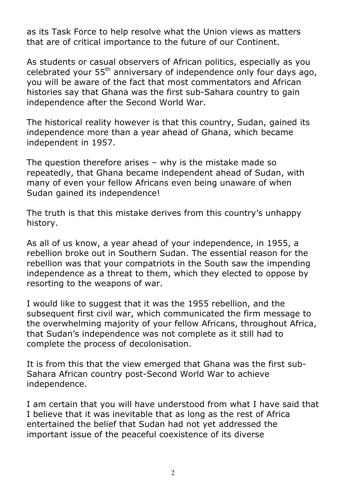as its Task Force to help resolve what the Union views as matters that are of critical importance to the future of our Continent.

As students or casual observers of African politics, especially as you celebrated your 55<sup>th</sup> anniversary of independence only four days ago, you will be aware of the fact that most commentators and African histories say that Ghana was the first sub-Sahara country to gain independence after the Second World War.

The historical reality however is that this country, Sudan, gained its independence more than a year ahead of Ghana, which became independent in 1957.

The question therefore arises – why is the mistake made so repeatedly, that Ghana became independent ahead of Sudan, with many of even your fellow Africans even being unaware of when Sudan gained its independence!

The truth is that this mistake derives from this country's unhappy history.

As all of us know, a year ahead of your independence, in 1955, a rebellion broke out in Southern Sudan. The essential reason for the rebellion was that your compatriots in the South saw the impending independence as a threat to them, which they elected to oppose by resorting to the weapons of war.

I would like to suggest that it was the 1955 rebellion, and the subsequent first civil war, which communicated the firm message to the overwhelming majority of your fellow Africans, throughout Africa, that Sudan's independence was not complete as it still had to complete the process of decolonisation.

It is from this that the view emerged that Ghana was the first sub-Sahara African country post-Second World War to achieve independence.

I am certain that you will have understood from what I have said that I believe that it was inevitable that as long as the rest of Africa entertained the belief that Sudan had not yet addressed the important issue of the peaceful coexistence of its diverse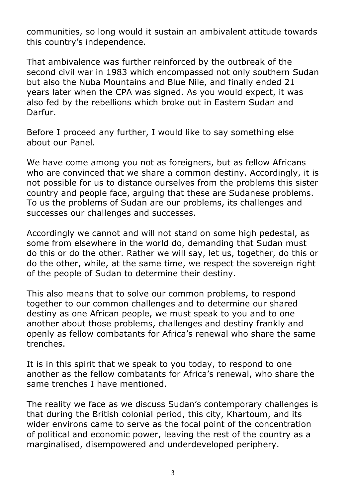communities, so long would it sustain an ambivalent attitude towards this country's independence.

That ambivalence was further reinforced by the outbreak of the second civil war in 1983 which encompassed not only southern Sudan but also the Nuba Mountains and Blue Nile, and finally ended 21 years later when the CPA was signed. As you would expect, it was also fed by the rebellions which broke out in Eastern Sudan and Darfur.

Before I proceed any further, I would like to say something else about our Panel.

We have come among you not as foreigners, but as fellow Africans who are convinced that we share a common destiny. Accordingly, it is not possible for us to distance ourselves from the problems this sister country and people face, arguing that these are Sudanese problems. To us the problems of Sudan are our problems, its challenges and successes our challenges and successes.

Accordingly we cannot and will not stand on some high pedestal, as some from elsewhere in the world do, demanding that Sudan must do this or do the other. Rather we will say, let us, together, do this or do the other, while, at the same time, we respect the sovereign right of the people of Sudan to determine their destiny.

This also means that to solve our common problems, to respond together to our common challenges and to determine our shared destiny as one African people, we must speak to you and to one another about those problems, challenges and destiny frankly and openly as fellow combatants for Africa's renewal who share the same trenches.

It is in this spirit that we speak to you today, to respond to one another as the fellow combatants for Africa's renewal, who share the same trenches I have mentioned.

The reality we face as we discuss Sudan's contemporary challenges is that during the British colonial period, this city, Khartoum, and its wider environs came to serve as the focal point of the concentration of political and economic power, leaving the rest of the country as a marginalised, disempowered and underdeveloped periphery.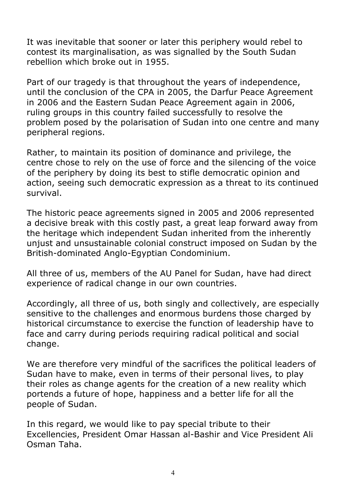It was inevitable that sooner or later this periphery would rebel to contest its marginalisation, as was signalled by the South Sudan rebellion which broke out in 1955.

Part of our tragedy is that throughout the years of independence, until the conclusion of the CPA in 2005, the Darfur Peace Agreement in 2006 and the Eastern Sudan Peace Agreement again in 2006, ruling groups in this country failed successfully to resolve the problem posed by the polarisation of Sudan into one centre and many peripheral regions.

Rather, to maintain its position of dominance and privilege, the centre chose to rely on the use of force and the silencing of the voice of the periphery by doing its best to stifle democratic opinion and action, seeing such democratic expression as a threat to its continued survival.

The historic peace agreements signed in 2005 and 2006 represented a decisive break with this costly past, a great leap forward away from the heritage which independent Sudan inherited from the inherently unjust and unsustainable colonial construct imposed on Sudan by the British-dominated Anglo-Egyptian Condominium.

All three of us, members of the AU Panel for Sudan, have had direct experience of radical change in our own countries.

Accordingly, all three of us, both singly and collectively, are especially sensitive to the challenges and enormous burdens those charged by historical circumstance to exercise the function of leadership have to face and carry during periods requiring radical political and social change.

We are therefore very mindful of the sacrifices the political leaders of Sudan have to make, even in terms of their personal lives, to play their roles as change agents for the creation of a new reality which portends a future of hope, happiness and a better life for all the people of Sudan.

In this regard, we would like to pay special tribute to their Excellencies, President Omar Hassan al-Bashir and Vice President Ali Osman Taha.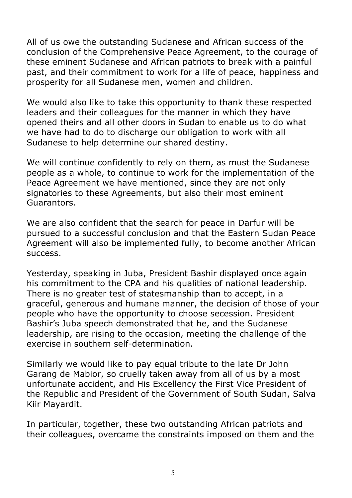All of us owe the outstanding Sudanese and African success of the conclusion of the Comprehensive Peace Agreement, to the courage of these eminent Sudanese and African patriots to break with a painful past, and their commitment to work for a life of peace, happiness and prosperity for all Sudanese men, women and children.

We would also like to take this opportunity to thank these respected leaders and their colleagues for the manner in which they have opened theirs and all other doors in Sudan to enable us to do what we have had to do to discharge our obligation to work with all Sudanese to help determine our shared destiny.

We will continue confidently to rely on them, as must the Sudanese people as a whole, to continue to work for the implementation of the Peace Agreement we have mentioned, since they are not only signatories to these Agreements, but also their most eminent Guarantors.

We are also confident that the search for peace in Darfur will be pursued to a successful conclusion and that the Eastern Sudan Peace Agreement will also be implemented fully, to become another African success.

Yesterday, speaking in Juba, President Bashir displayed once again his commitment to the CPA and his qualities of national leadership. There is no greater test of statesmanship than to accept, in a graceful, generous and humane manner, the decision of those of your people who have the opportunity to choose secession. President Bashir's Juba speech demonstrated that he, and the Sudanese leadership, are rising to the occasion, meeting the challenge of the exercise in southern self-determination.

Similarly we would like to pay equal tribute to the late Dr John Garang de Mabior, so cruelly taken away from all of us by a most unfortunate accident, and His Excellency the First Vice President of the Republic and President of the Government of South Sudan, Salva Kiir Mayardit.

In particular, together, these two outstanding African patriots and their colleagues, overcame the constraints imposed on them and the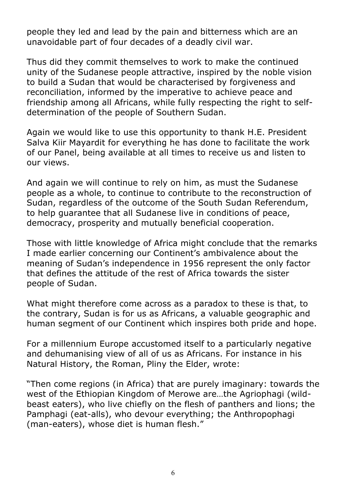people they led and lead by the pain and bitterness which are an unavoidable part of four decades of a deadly civil war.

Thus did they commit themselves to work to make the continued unity of the Sudanese people attractive, inspired by the noble vision to build a Sudan that would be characterised by forgiveness and reconciliation, informed by the imperative to achieve peace and friendship among all Africans, while fully respecting the right to selfdetermination of the people of Southern Sudan.

Again we would like to use this opportunity to thank H.E. President Salva Kiir Mayardit for everything he has done to facilitate the work of our Panel, being available at all times to receive us and listen to our views.

And again we will continue to rely on him, as must the Sudanese people as a whole, to continue to contribute to the reconstruction of Sudan, regardless of the outcome of the South Sudan Referendum, to help guarantee that all Sudanese live in conditions of peace, democracy, prosperity and mutually beneficial cooperation.

Those with little knowledge of Africa might conclude that the remarks I made earlier concerning our Continent's ambivalence about the meaning of Sudan's independence in 1956 represent the only factor that defines the attitude of the rest of Africa towards the sister people of Sudan.

What might therefore come across as a paradox to these is that, to the contrary, Sudan is for us as Africans, a valuable geographic and human segment of our Continent which inspires both pride and hope.

For a millennium Europe accustomed itself to a particularly negative and dehumanising view of all of us as Africans. For instance in his Natural History, the Roman, Pliny the Elder, wrote:

"Then come regions (in Africa) that are purely imaginary: towards the west of the Ethiopian Kingdom of Merowe are…the Agriophagi (wildbeast eaters), who live chiefly on the flesh of panthers and lions; the Pamphagi (eat-alls), who devour everything; the Anthropophagi (man-eaters), whose diet is human flesh."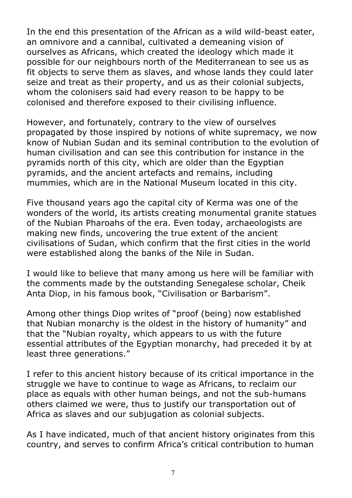In the end this presentation of the African as a wild wild-beast eater, an omnivore and a cannibal, cultivated a demeaning vision of ourselves as Africans, which created the ideology which made it possible for our neighbours north of the Mediterranean to see us as fit objects to serve them as slaves, and whose lands they could later seize and treat as their property, and us as their colonial subjects, whom the colonisers said had every reason to be happy to be colonised and therefore exposed to their civilising influence.

However, and fortunately, contrary to the view of ourselves propagated by those inspired by notions of white supremacy, we now know of Nubian Sudan and its seminal contribution to the evolution of human civilisation and can see this contribution for instance in the pyramids north of this city, which are older than the Egyptian pyramids, and the ancient artefacts and remains, including mummies, which are in the National Museum located in this city.

Five thousand years ago the capital city of Kerma was one of the wonders of the world, its artists creating monumental granite statues of the Nubian Pharoahs of the era. Even today, archaeologists are making new finds, uncovering the true extent of the ancient civilisations of Sudan, which confirm that the first cities in the world were established along the banks of the Nile in Sudan.

I would like to believe that many among us here will be familiar with the comments made by the outstanding Senegalese scholar, Cheik Anta Diop, in his famous book, "Civilisation or Barbarism".

Among other things Diop writes of "proof (being) now established that Nubian monarchy is the oldest in the history of humanity" and that the "Nubian royalty, which appears to us with the future essential attributes of the Egyptian monarchy, had preceded it by at least three generations."

I refer to this ancient history because of its critical importance in the struggle we have to continue to wage as Africans, to reclaim our place as equals with other human beings, and not the sub-humans others claimed we were, thus to justify our transportation out of Africa as slaves and our subjugation as colonial subjects.

As I have indicated, much of that ancient history originates from this country, and serves to confirm Africa's critical contribution to human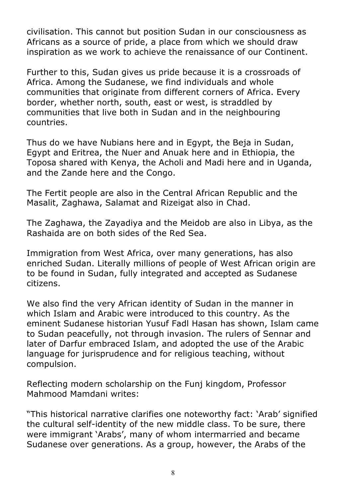civilisation. This cannot but position Sudan in our consciousness as Africans as a source of pride, a place from which we should draw inspiration as we work to achieve the renaissance of our Continent.

Further to this, Sudan gives us pride because it is a crossroads of Africa. Among the Sudanese, we find individuals and whole communities that originate from different corners of Africa. Every border, whether north, south, east or west, is straddled by communities that live both in Sudan and in the neighbouring countries.

Thus do we have Nubians here and in Egypt, the Beja in Sudan, Egypt and Eritrea, the Nuer and Anuak here and in Ethiopia, the Toposa shared with Kenya, the Acholi and Madi here and in Uganda, and the Zande here and the Congo.

The Fertit people are also in the Central African Republic and the Masalit, Zaghawa, Salamat and Rizeigat also in Chad.

The Zaghawa, the Zayadiya and the Meidob are also in Libya, as the Rashaida are on both sides of the Red Sea.

Immigration from West Africa, over many generations, has also enriched Sudan. Literally millions of people of West African origin are to be found in Sudan, fully integrated and accepted as Sudanese citizens.

We also find the very African identity of Sudan in the manner in which Islam and Arabic were introduced to this country. As the eminent Sudanese historian Yusuf Fadl Hasan has shown, Islam came to Sudan peacefully, not through invasion. The rulers of Sennar and later of Darfur embraced Islam, and adopted the use of the Arabic language for jurisprudence and for religious teaching, without compulsion.

Reflecting modern scholarship on the Funj kingdom, Professor Mahmood Mamdani writes:

"This historical narrative clarifies one noteworthy fact: 'Arab' signified the cultural self-identity of the new middle class. To be sure, there were immigrant 'Arabs', many of whom intermarried and became Sudanese over generations. As a group, however, the Arabs of the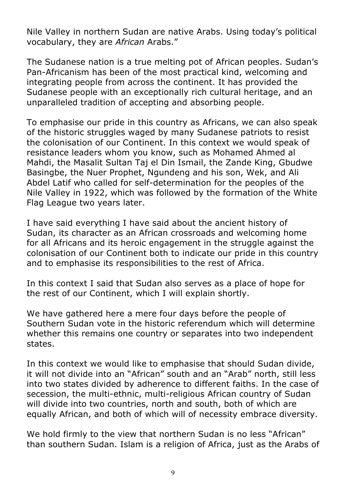Nile Valley in northern Sudan are native Arabs. Using today's political vocabulary, they are *African* Arabs."

The Sudanese nation is a true melting pot of African peoples. Sudan's Pan-Africanism has been of the most practical kind, welcoming and integrating people from across the continent. It has provided the Sudanese people with an exceptionally rich cultural heritage, and an unparalleled tradition of accepting and absorbing people.

To emphasise our pride in this country as Africans, we can also speak of the historic struggles waged by many Sudanese patriots to resist the colonisation of our Continent. In this context we would speak of resistance leaders whom you know, such as Mohamed Ahmed al Mahdi, the Masalit Sultan Taj el Din Ismail, the Zande King, Gbudwe Basingbe, the Nuer Prophet, Ngundeng and his son, Wek, and Ali Abdel Latif who called for self-determination for the peoples of the Nile Valley in 1922, which was followed by the formation of the White Flag League two years later.

I have said everything I have said about the ancient history of Sudan, its character as an African crossroads and welcoming home for all Africans and its heroic engagement in the struggle against the colonisation of our Continent both to indicate our pride in this country and to emphasise its responsibilities to the rest of Africa.

In this context I said that Sudan also serves as a place of hope for the rest of our Continent, which I will explain shortly.

We have gathered here a mere four days before the people of Southern Sudan vote in the historic referendum which will determine whether this remains one country or separates into two independent states.

In this context we would like to emphasise that should Sudan divide, it will not divide into an "African" south and an "Arab" north, still less into two states divided by adherence to different faiths. In the case of secession, the multi-ethnic, multi-religious African country of Sudan will divide into two countries, north and south, both of which are equally African, and both of which will of necessity embrace diversity.

We hold firmly to the view that northern Sudan is no less "African" than southern Sudan. Islam is a religion of Africa, just as the Arabs of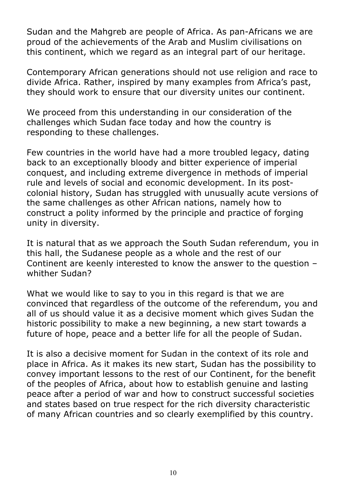Sudan and the Mahgreb are people of Africa. As pan-Africans we are proud of the achievements of the Arab and Muslim civilisations on this continent, which we regard as an integral part of our heritage.

Contemporary African generations should not use religion and race to divide Africa. Rather, inspired by many examples from Africa's past, they should work to ensure that our diversity unites our continent.

We proceed from this understanding in our consideration of the challenges which Sudan face today and how the country is responding to these challenges.

Few countries in the world have had a more troubled legacy, dating back to an exceptionally bloody and bitter experience of imperial conquest, and including extreme divergence in methods of imperial rule and levels of social and economic development. In its postcolonial history, Sudan has struggled with unusually acute versions of the same challenges as other African nations, namely how to construct a polity informed by the principle and practice of forging unity in diversity.

It is natural that as we approach the South Sudan referendum, you in this hall, the Sudanese people as a whole and the rest of our Continent are keenly interested to know the answer to the question – whither Sudan?

What we would like to say to you in this regard is that we are convinced that regardless of the outcome of the referendum, you and all of us should value it as a decisive moment which gives Sudan the historic possibility to make a new beginning, a new start towards a future of hope, peace and a better life for all the people of Sudan.

It is also a decisive moment for Sudan in the context of its role and place in Africa. As it makes its new start, Sudan has the possibility to convey important lessons to the rest of our Continent, for the benefit of the peoples of Africa, about how to establish genuine and lasting peace after a period of war and how to construct successful societies and states based on true respect for the rich diversity characteristic of many African countries and so clearly exemplified by this country.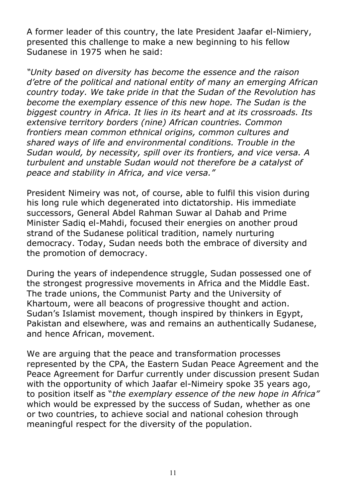A former leader of this country, the late President Jaafar el-Nimiery, presented this challenge to make a new beginning to his fellow Sudanese in 1975 when he said:

*"Unity based on diversity has become the essence and the raison d'etre of the political and national entity of many an emerging African country today. We take pride in that the Sudan of the Revolution has become the exemplary essence of this new hope. The Sudan is the biggest country in Africa. It lies in its heart and at its crossroads. Its extensive territory borders (nine) African countries. Common frontiers mean common ethnical origins, common cultures and shared ways of life and environmental conditions. Trouble in the Sudan would, by necessity, spill over its frontiers, and vice versa. A turbulent and unstable Sudan would not therefore be a catalyst of peace and stability in Africa, and vice versa."*

President Nimeiry was not, of course, able to fulfil this vision during his long rule which degenerated into dictatorship. His immediate successors, General Abdel Rahman Suwar al Dahab and Prime Minister Sadiq el-Mahdi, focused their energies on another proud strand of the Sudanese political tradition, namely nurturing democracy. Today, Sudan needs both the embrace of diversity and the promotion of democracy.

During the years of independence struggle, Sudan possessed one of the strongest progressive movements in Africa and the Middle East. The trade unions, the Communist Party and the University of Khartoum, were all beacons of progressive thought and action. Sudan's Islamist movement, though inspired by thinkers in Egypt, Pakistan and elsewhere, was and remains an authentically Sudanese, and hence African, movement.

We are arguing that the peace and transformation processes represented by the CPA, the Eastern Sudan Peace Agreement and the Peace Agreement for Darfur currently under discussion present Sudan with the opportunity of which Jaafar el-Nimeiry spoke 35 years ago, to position itself as "*the exemplary essence of the new hope in Africa"* which would be expressed by the success of Sudan, whether as one or two countries, to achieve social and national cohesion through meaningful respect for the diversity of the population.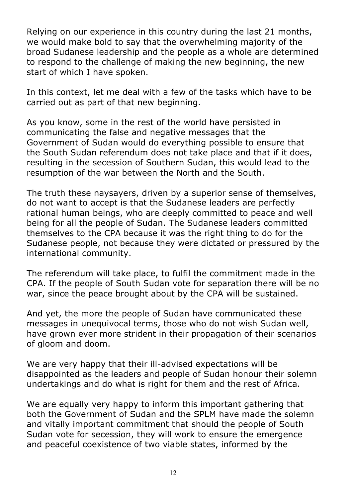Relying on our experience in this country during the last 21 months, we would make bold to say that the overwhelming majority of the broad Sudanese leadership and the people as a whole are determined to respond to the challenge of making the new beginning, the new start of which I have spoken.

In this context, let me deal with a few of the tasks which have to be carried out as part of that new beginning.

As you know, some in the rest of the world have persisted in communicating the false and negative messages that the Government of Sudan would do everything possible to ensure that the South Sudan referendum does not take place and that if it does, resulting in the secession of Southern Sudan, this would lead to the resumption of the war between the North and the South.

The truth these naysayers, driven by a superior sense of themselves, do not want to accept is that the Sudanese leaders are perfectly rational human beings, who are deeply committed to peace and well being for all the people of Sudan. The Sudanese leaders committed themselves to the CPA because it was the right thing to do for the Sudanese people, not because they were dictated or pressured by the international community.

The referendum will take place, to fulfil the commitment made in the CPA. If the people of South Sudan vote for separation there will be no war, since the peace brought about by the CPA will be sustained.

And yet, the more the people of Sudan have communicated these messages in unequivocal terms, those who do not wish Sudan well, have grown ever more strident in their propagation of their scenarios of gloom and doom.

We are very happy that their ill-advised expectations will be disappointed as the leaders and people of Sudan honour their solemn undertakings and do what is right for them and the rest of Africa.

We are equally very happy to inform this important gathering that both the Government of Sudan and the SPLM have made the solemn and vitally important commitment that should the people of South Sudan vote for secession, they will work to ensure the emergence and peaceful coexistence of two viable states, informed by the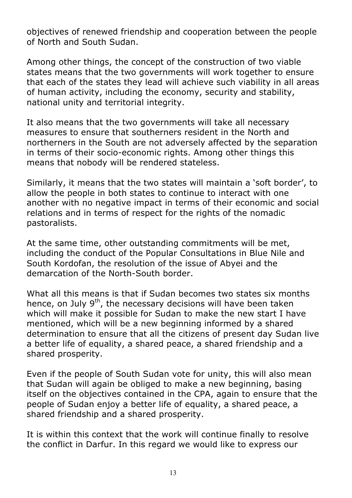objectives of renewed friendship and cooperation between the people of North and South Sudan.

Among other things, the concept of the construction of two viable states means that the two governments will work together to ensure that each of the states they lead will achieve such viability in all areas of human activity, including the economy, security and stability, national unity and territorial integrity.

It also means that the two governments will take all necessary measures to ensure that southerners resident in the North and northerners in the South are not adversely affected by the separation in terms of their socio-economic rights. Among other things this means that nobody will be rendered stateless.

Similarly, it means that the two states will maintain a 'soft border', to allow the people in both states to continue to interact with one another with no negative impact in terms of their economic and social relations and in terms of respect for the rights of the nomadic pastoralists.

At the same time, other outstanding commitments will be met, including the conduct of the Popular Consultations in Blue Nile and South Kordofan, the resolution of the issue of Abyei and the demarcation of the North-South border.

What all this means is that if Sudan becomes two states six months hence, on July  $9<sup>th</sup>$ , the necessary decisions will have been taken which will make it possible for Sudan to make the new start I have mentioned, which will be a new beginning informed by a shared determination to ensure that all the citizens of present day Sudan live a better life of equality, a shared peace, a shared friendship and a shared prosperity.

Even if the people of South Sudan vote for unity, this will also mean that Sudan will again be obliged to make a new beginning, basing itself on the objectives contained in the CPA, again to ensure that the people of Sudan enjoy a better life of equality, a shared peace, a shared friendship and a shared prosperity.

It is within this context that the work will continue finally to resolve the conflict in Darfur. In this regard we would like to express our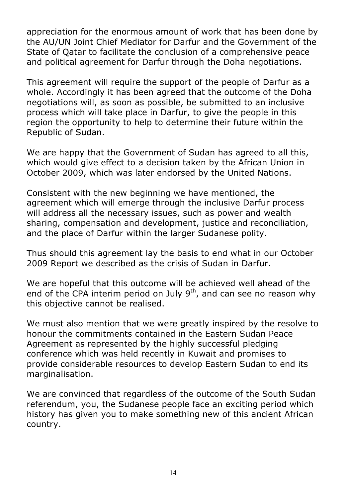appreciation for the enormous amount of work that has been done by the AU/UN Joint Chief Mediator for Darfur and the Government of the State of Qatar to facilitate the conclusion of a comprehensive peace and political agreement for Darfur through the Doha negotiations.

This agreement will require the support of the people of Darfur as a whole. Accordingly it has been agreed that the outcome of the Doha negotiations will, as soon as possible, be submitted to an inclusive process which will take place in Darfur, to give the people in this region the opportunity to help to determine their future within the Republic of Sudan.

We are happy that the Government of Sudan has agreed to all this, which would give effect to a decision taken by the African Union in October 2009, which was later endorsed by the United Nations.

Consistent with the new beginning we have mentioned, the agreement which will emerge through the inclusive Darfur process will address all the necessary issues, such as power and wealth sharing, compensation and development, justice and reconciliation, and the place of Darfur within the larger Sudanese polity.

Thus should this agreement lay the basis to end what in our October 2009 Report we described as the crisis of Sudan in Darfur.

We are hopeful that this outcome will be achieved well ahead of the end of the CPA interim period on July  $9<sup>th</sup>$ , and can see no reason why this objective cannot be realised.

We must also mention that we were greatly inspired by the resolve to honour the commitments contained in the Eastern Sudan Peace Agreement as represented by the highly successful pledging conference which was held recently in Kuwait and promises to provide considerable resources to develop Eastern Sudan to end its marginalisation.

We are convinced that regardless of the outcome of the South Sudan referendum, you, the Sudanese people face an exciting period which history has given you to make something new of this ancient African country.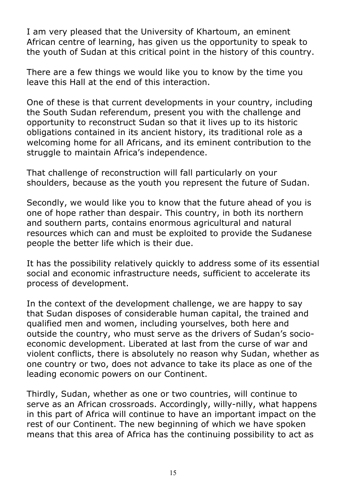I am very pleased that the University of Khartoum, an eminent African centre of learning, has given us the opportunity to speak to the youth of Sudan at this critical point in the history of this country.

There are a few things we would like you to know by the time you leave this Hall at the end of this interaction.

One of these is that current developments in your country, including the South Sudan referendum, present you with the challenge and opportunity to reconstruct Sudan so that it lives up to its historic obligations contained in its ancient history, its traditional role as a welcoming home for all Africans, and its eminent contribution to the struggle to maintain Africa's independence.

That challenge of reconstruction will fall particularly on your shoulders, because as the youth you represent the future of Sudan.

Secondly, we would like you to know that the future ahead of you is one of hope rather than despair. This country, in both its northern and southern parts, contains enormous agricultural and natural resources which can and must be exploited to provide the Sudanese people the better life which is their due.

It has the possibility relatively quickly to address some of its essential social and economic infrastructure needs, sufficient to accelerate its process of development.

In the context of the development challenge, we are happy to say that Sudan disposes of considerable human capital, the trained and qualified men and women, including yourselves, both here and outside the country, who must serve as the drivers of Sudan's socioeconomic development. Liberated at last from the curse of war and violent conflicts, there is absolutely no reason why Sudan, whether as one country or two, does not advance to take its place as one of the leading economic powers on our Continent.

Thirdly, Sudan, whether as one or two countries, will continue to serve as an African crossroads. Accordingly, willy-nilly, what happens in this part of Africa will continue to have an important impact on the rest of our Continent. The new beginning of which we have spoken means that this area of Africa has the continuing possibility to act as